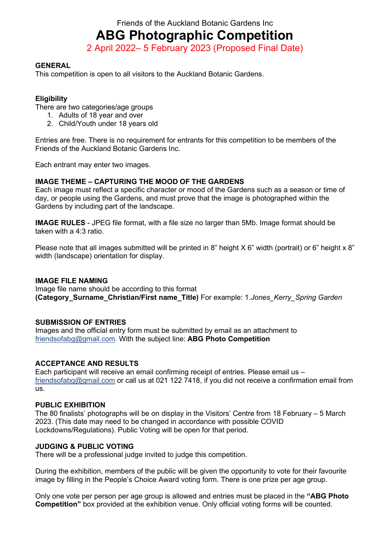Friends of the Auckland Botanic Gardens Inc

**ABG Photographic Competition**

2 April 2022– 5 February 2023 (Proposed Final Date)

## **GENERAL**

This competition is open to all visitors to the Auckland Botanic Gardens.

## **Eligibility**

There are two categories/age groups

- 1. Adults of 18 year and over
- 2. Child/Youth under 18 years old

Entries are free. There is no requirement for entrants for this competition to be members of the Friends of the Auckland Botanic Gardens Inc.

Each entrant may enter two images.

## **IMAGE THEME – CAPTURING THE MOOD OF THE GARDENS**

Each image must reflect a specific character or mood of the Gardens such as a season or time of day, or people using the Gardens, and must prove that the image is photographed within the Gardens by including part of the landscape.

**IMAGE RULES** - JPEG file format, with a file size no larger than 5Mb. Image format should be taken with a 4:3 ratio.

Please note that all images submitted will be printed in 8" height X 6" width (portrait) or 6" height x 8" width (landscape) orientation for display.

#### **IMAGE FILE NAMING**

Image file name should be according to this format **(Category\_Surname\_Christian/First name\_Title)** For example: 1.*Jones\_Kerry\_Spring Garden*

#### **SUBMISSION OF ENTRIES**

Images and the official entry form must be submitted by email as an attachment to [friendsofabg@gmail.com.](mailto:friendsofabg@gmail.com) With the subject line: **ABG Photo Competition**

#### **ACCEPTANCE AND RESULTS**

Each participant will receive an email confirming receipt of entries. Please email us – [friendsofabg@gmail.com](mailto:friendsofabg@gmail.com) or call us at 021 122 7418, if you did not receive a confirmation email from us.

#### **PUBLIC EXHIBITION**

The 80 finalists' photographs will be on display in the Visitors' Centre from 18 February – 5 March 2023. (This date may need to be changed in accordance with possible COVID Lockdowns/Regulations). Public Voting will be open for that period.

#### **JUDGING & PUBLIC VOTING**

There will be a professional judge invited to judge this competition.

During the exhibition, members of the public will be given the opportunity to vote for their favourite image by filling in the People's Choice Award voting form. There is one prize per age group.

Only one vote per person per age group is allowed and entries must be placed in the **"ABG Photo Competition"** box provided at the exhibition venue. Only official voting forms will be counted.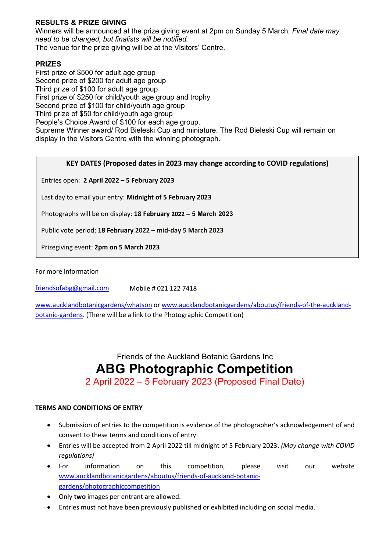## **RESULTS & PRIZE GIVING**

Winners will be announced at the prize giving event at 2pm on Sunday 5 March*. Final date may need to be changed, but finalists will be notified.* The venue for the prize giving will be at the Visitors' Centre.

### **PRIZES**

First prize of \$500 for adult age group Second prize of \$200 for adult age group Third prize of \$100 for adult age group First prize of \$250 for child/youth age group and trophy Second prize of \$100 for child/youth age group Third prize of \$50 for child/youth age group People's Choice Award of \$100 for each age group. Supreme Winner award/ Rod Bieleski Cup and miniature. The Rod Bieleski Cup will remain on display in the Visitors Centre with the winning photograph.

#### **KEY DATES (Proposed dates in 2023 may change according to COVID regulations)**

Entries open: **2 April 2022 – 5 February 2023**

Last day to email your entry: **Midnight of 5 February 2023**

Photographs will be on display: **18 February 2022 – 5 March 2023**

Public vote period: **18 February 2022 – mid-day 5 March 2023**

Prizegiving event: **2pm on 5 March 2023**

For more information

[friendsofabg@gmail.com](mailto:friendsofabg@gmail.com) Mobile # 021 122 7418

[www.aucklandbotanicgardens/whatson](http://www.aucklandbotanicgardens/whatson) o[r www.aucklandbotanicgardens/aboutus/friends-of-the-auckland](http://www.aucklandbotanicgardens/aboutus/friends-of-the-auckland-botanic-gardens)[botanic-gardens.](http://www.aucklandbotanicgardens/aboutus/friends-of-the-auckland-botanic-gardens) (There will be a link to the Photographic Competition)

Friends of the Auckland Botanic Gardens Inc

# **ABG Photographic Competition**

2 April 2022 – 5 February 2023 (Proposed Final Date)

#### **TERMS AND CONDITIONS OF ENTRY**

- Submission of entries to the competition is evidence of the photographer's acknowledgement of and consent to these terms and conditions of entry.
- Entries will be accepted from 2 April 2022 till midnight of 5 February 2023. *(May change with COVID regulations)*
- For information on this competition, please visit our website [www.aucklandbotanicgardens/aboutus/friends-of-auckland-botanic](http://www.aucklandbotanicgardens/aboutus/friends-of-auckland-botanic-gardens/photographiccompetition)[gardens/photographiccompetition](http://www.aucklandbotanicgardens/aboutus/friends-of-auckland-botanic-gardens/photographiccompetition)
- Only **two** images per entrant are allowed.
- Entries must not have been previously published or exhibited including on social media.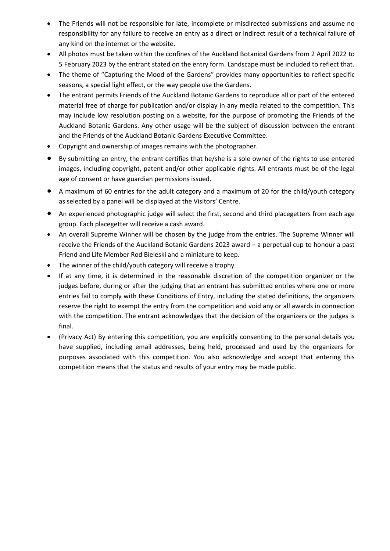- The Friends will not be responsible for late, incomplete or misdirected submissions and assume no responsibility for any failure to receive an entry as a direct or indirect result of a technical failure of any kind on the internet or the website.
- All photos must be taken within the confines of the Auckland Botanical Gardens from 2 April 2022 to 5 February 2023 by the entrant stated on the entry form. Landscape must be included to reflect that.
- The theme of "Capturing the Mood of the Gardens" provides many opportunities to reflect specific seasons, a special light effect, or the way people use the Gardens.
- The entrant permits Friends of the Auckland Botanic Gardens to reproduce all or part of the entered material free of charge for publication and/or display in any media related to the competition. This may include low resolution posting on a website, for the purpose of promoting the Friends of the Auckland Botanic Gardens. Any other usage will be the subject of discussion between the entrant and the Friends of the Auckland Botanic Gardens Executive Committee.
- Copyright and ownership of images remains with the photographer.
- By submitting an entry, the entrant certifies that he/she is a sole owner of the rights to use entered images, including copyright, patent and/or other applicable rights. All entrants must be of the legal age of consent or have guardian permissions issued.
- A maximum of 60 entries for the adult category and a maximum of 20 for the child/youth category as selected by a panel will be displayed at the Visitors' Centre.
- An experienced photographic judge will select the first, second and third placegetters from each age group. Each placegetter will receive a cash award.
- An overall Supreme Winner will be chosen by the judge from the entries. The Supreme Winner will receive the Friends of the Auckland Botanic Gardens 2023 award – a perpetual cup to honour a past Friend and Life Member Rod Bieleski and a miniature to keep.
- The winner of the child/youth category will receive a trophy.
- If at any time, it is determined in the reasonable discretion of the competition organizer or the judges before, during or after the judging that an entrant has submitted entries where one or more entries fail to comply with these Conditions of Entry, including the stated definitions, the organizers reserve the right to exempt the entry from the competition and void any or all awards in connection with the competition. The entrant acknowledges that the decision of the organizers or the judges is final.
- (Privacy Act) By entering this competition, you are explicitly consenting to the personal details you have supplied, including email addresses, being held, processed and used by the organizers for purposes associated with this competition. You also acknowledge and accept that entering this competition means that the status and results of your entry may be made public.